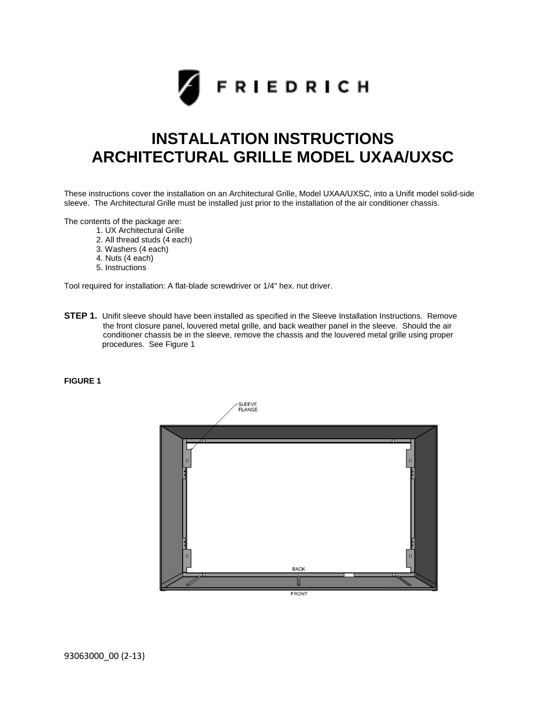

## **INSTALLATION INSTRUCTIONS ARCHITECTURAL GRILLE MODEL UXAA/UXSC**

These instructions cover the installation on an Architectural Grille, Model UXAA/UXSC, into a Unifit model solid-side sleeve. The Architectural Grille must be installed just prior to the installation of the air conditioner chassis.

The contents of the package are:

- 1. UX Architectural Grille
- 2. All thread studs (4 each)
- 3. Washers (4 each)
- 4. Nuts (4 each)
- 5. Instructions

Tool required for installation: A flat-blade screwdriver or 1/4" hex. nut driver.

**STEP 1.** Unifit sleeve should have been installed as specified in the Sleeve Installation Instructions. Remove the front closure panel, louvered metal grille, and back weather panel in the sleeve. Should the air conditioner chassis be in the sleeve, remove the chassis and the louvered metal grille using proper procedures. See Figure 1

## **FIGURE 1**